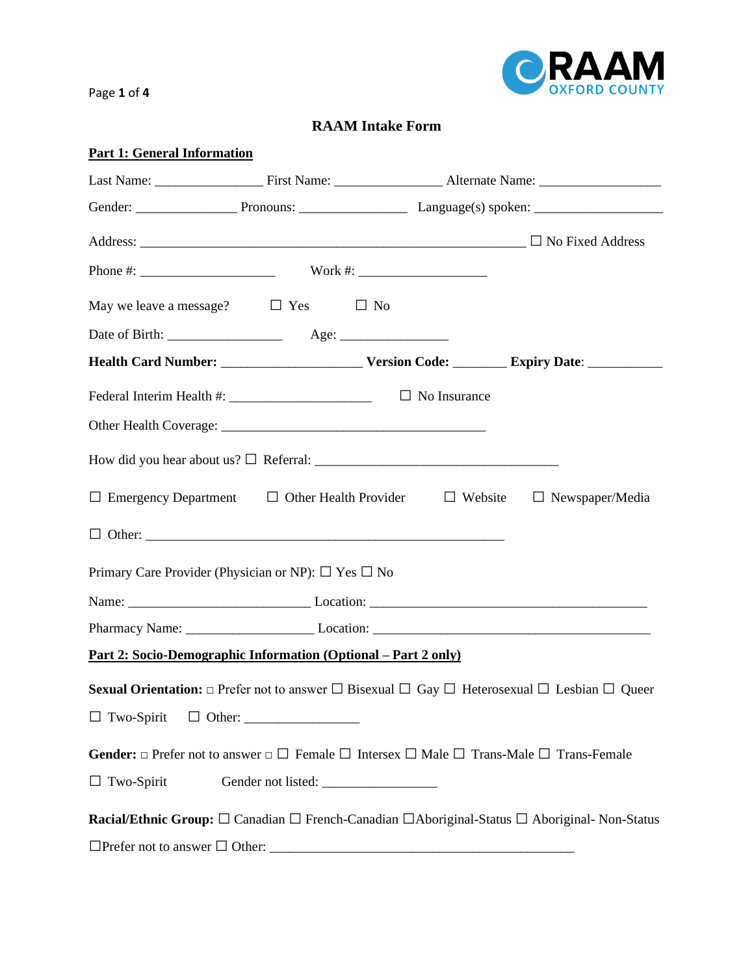

Page **1** of **4**

## **RAAM Intake Form**

| <b>Part 1: General Information</b>                                     |  |  |                                                                                                                                   |
|------------------------------------------------------------------------|--|--|-----------------------------------------------------------------------------------------------------------------------------------|
|                                                                        |  |  |                                                                                                                                   |
|                                                                        |  |  |                                                                                                                                   |
|                                                                        |  |  |                                                                                                                                   |
|                                                                        |  |  |                                                                                                                                   |
| May we leave a message? $\Box$ Yes $\Box$ No                           |  |  |                                                                                                                                   |
|                                                                        |  |  |                                                                                                                                   |
|                                                                        |  |  |                                                                                                                                   |
| Federal Interim Health #: ___________________________ □ No Insurance   |  |  |                                                                                                                                   |
|                                                                        |  |  |                                                                                                                                   |
|                                                                        |  |  |                                                                                                                                   |
|                                                                        |  |  | $\Box$ Emergency Department $\Box$ Other Health Provider $\Box$ Website $\Box$ Newspaper/Media                                    |
|                                                                        |  |  |                                                                                                                                   |
| Primary Care Provider (Physician or NP): $\Box$ Yes $\Box$ No          |  |  |                                                                                                                                   |
|                                                                        |  |  |                                                                                                                                   |
|                                                                        |  |  |                                                                                                                                   |
| <u> Part 2: Socio-Demographic Information (Optional – Part 2 only)</u> |  |  |                                                                                                                                   |
|                                                                        |  |  | <b>Sexual Orientation:</b> $\Box$ Prefer not to answer $\Box$ Bisexual $\Box$ Gay $\Box$ Heterosexual $\Box$ Lesbian $\Box$ Queer |
|                                                                        |  |  |                                                                                                                                   |
|                                                                        |  |  | <b>Gender:</b> $\Box$ Prefer not to answer $\Box$ Female $\Box$ Intersex $\Box$ Male $\Box$ Trans-Male $\Box$ Trans-Female        |
| $\Box$ Two-Spirit                                                      |  |  |                                                                                                                                   |
|                                                                        |  |  | Racial/Ethnic Group: □ Canadian □ French-Canadian □ Aboriginal-Status □ Aboriginal- Non-Status                                    |
|                                                                        |  |  |                                                                                                                                   |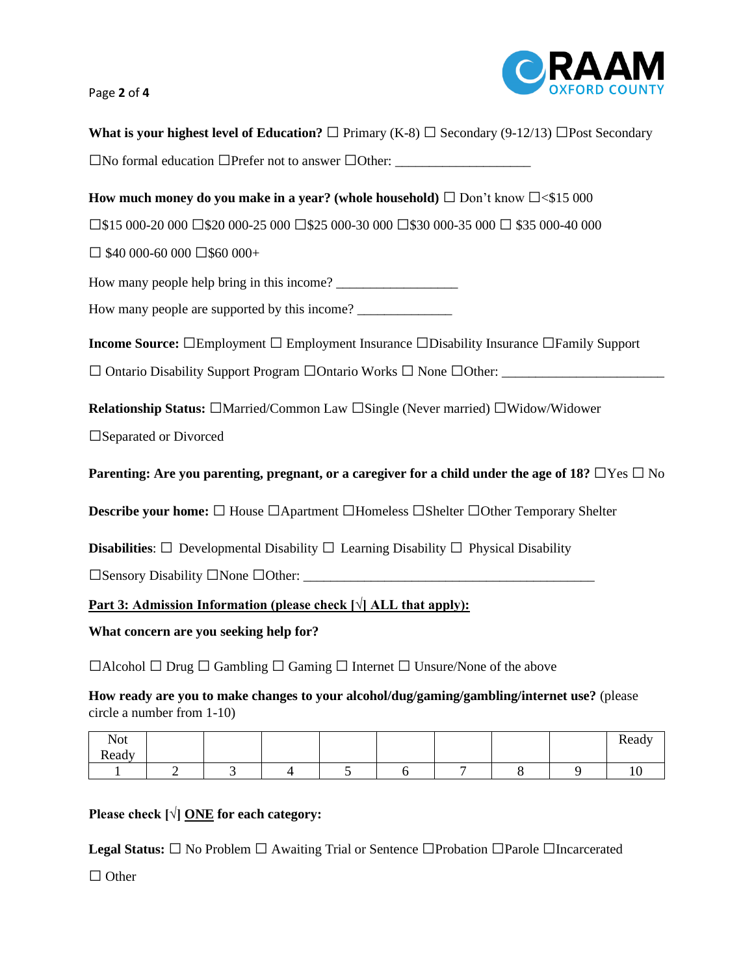# Page **2** of **4**



| What is your highest level of Education? $\Box$ Primary (K-8) $\Box$ Secondary (9-12/13) $\Box$ Post Secondary                                                                                                                                                                                                                                                                                                                                   |  |  |  |  |  |
|--------------------------------------------------------------------------------------------------------------------------------------------------------------------------------------------------------------------------------------------------------------------------------------------------------------------------------------------------------------------------------------------------------------------------------------------------|--|--|--|--|--|
|                                                                                                                                                                                                                                                                                                                                                                                                                                                  |  |  |  |  |  |
| How much money do you make in a year? (whole household) $\Box$ Don't know $\Box$ <\$15 000                                                                                                                                                                                                                                                                                                                                                       |  |  |  |  |  |
| $\square$ \$15 000-20 000 $\square$ \$20 000-25 000 $\square$ \$25 000-30 000 $\square$ \$30 000-35 000 $\square$ \$35 000-40 000                                                                                                                                                                                                                                                                                                                |  |  |  |  |  |
| $\Box$ \$40 000-60 000 $\Box$ \$60 000+                                                                                                                                                                                                                                                                                                                                                                                                          |  |  |  |  |  |
| How many people help bring in this income?                                                                                                                                                                                                                                                                                                                                                                                                       |  |  |  |  |  |
| How many people are supported by this income?                                                                                                                                                                                                                                                                                                                                                                                                    |  |  |  |  |  |
| <b>Income Source:</b> □Employment □ Employment Insurance □Disability Insurance □Family Support                                                                                                                                                                                                                                                                                                                                                   |  |  |  |  |  |
|                                                                                                                                                                                                                                                                                                                                                                                                                                                  |  |  |  |  |  |
| <b>Relationship Status:</b> □Married/Common Law □Single (Never married) □Widow/Widower<br>□ Separated or Divorced<br>Parenting: Are you parenting, pregnant, or a caregiver for a child under the age of 18? $\Box$ Yes $\Box$ No<br><b>Describe your home:</b> □ House □ Apartment □ Homeless □ Shelter □ Other Temporary Shelter<br><b>Disabilities:</b> $\Box$ Developmental Disability $\Box$ Learning Disability $\Box$ Physical Disability |  |  |  |  |  |
| <u>Part 3: Admission Information (please check <math>[\sqrt{]}</math> ALL that apply):</u>                                                                                                                                                                                                                                                                                                                                                       |  |  |  |  |  |
| What concern are you seeking help for?                                                                                                                                                                                                                                                                                                                                                                                                           |  |  |  |  |  |
| $\Box$ Alcohol $\Box$ Drug $\Box$ Gambling $\Box$ Gaming $\Box$ Internet $\Box$ Unsure/None of the above                                                                                                                                                                                                                                                                                                                                         |  |  |  |  |  |
| How ready are you to make changes to your alcohol/dug/gaming/gambling/internet use? (please<br>circle a number from 1-10)                                                                                                                                                                                                                                                                                                                        |  |  |  |  |  |
| <b>Not</b><br>Ready<br>Ready                                                                                                                                                                                                                                                                                                                                                                                                                     |  |  |  |  |  |
| 5<br>$\overline{2}$<br>3<br>$\tau$<br>8<br>6<br>$\overline{4}$<br>9<br>10<br>1                                                                                                                                                                                                                                                                                                                                                                   |  |  |  |  |  |
| Please check $[\sqrt{\frac{1}{2}}]$ ONE for each category:                                                                                                                                                                                                                                                                                                                                                                                       |  |  |  |  |  |

Legal Status:  $□$  No Problem  $□$  Awaiting Trial or Sentence  $□$ Probation  $□$ Parole  $□$ Incarcerated

□ Other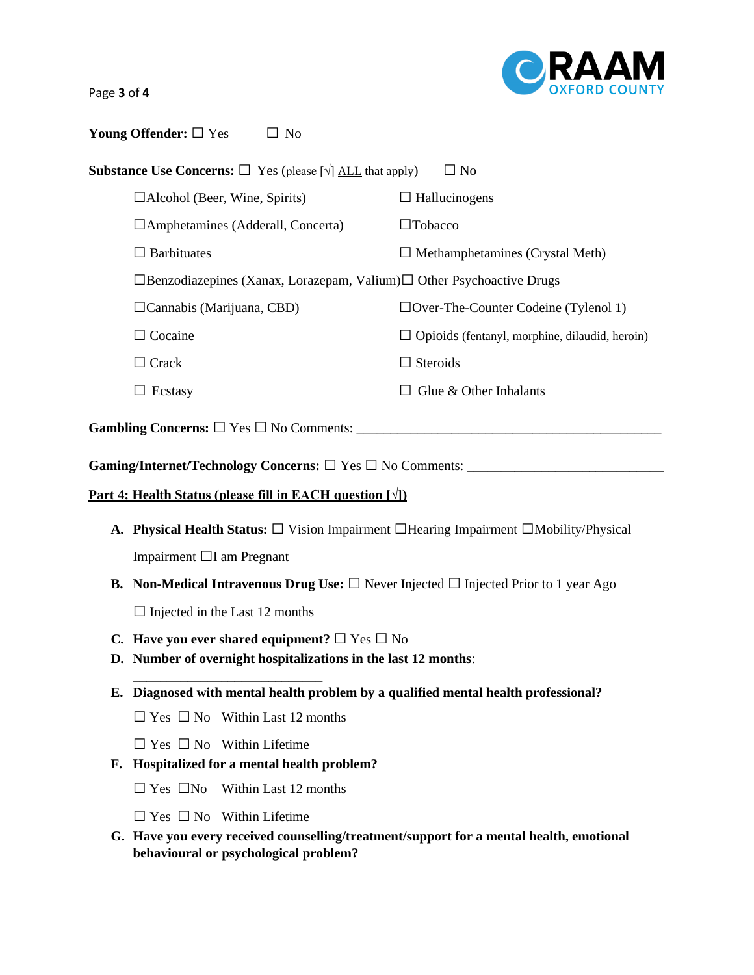Page **3** of **4**

| Young Offender: $\Box$ Yes | $\Box$ No |
|----------------------------|-----------|
|                            |           |

| <b>Substance Use Concerns:</b> $\Box$ Yes (please $\lceil \sqrt{\rceil}$ ALL that apply)<br>$\Box$ No |                                                                                   |                                                       |  |  |
|-------------------------------------------------------------------------------------------------------|-----------------------------------------------------------------------------------|-------------------------------------------------------|--|--|
|                                                                                                       | $\Box$ Alcohol (Beer, Wine, Spirits)                                              | $\Box$ Hallucinogens                                  |  |  |
|                                                                                                       | $\Box$ Amphetamines (Adderall, Concerta)                                          | $\Box$ Tobacco                                        |  |  |
|                                                                                                       | $\Box$ Barbituates                                                                | $\Box$ Methamphetamines (Crystal Meth)                |  |  |
|                                                                                                       | $\Box$ Benzodiazepines (Xanax, Lorazepam, Valium) $\Box$ Other Psychoactive Drugs |                                                       |  |  |
|                                                                                                       | $\Box$ Cannabis (Marijuana, CBD)                                                  | $\Box$ Over-The-Counter Codeine (Tylenol 1)           |  |  |
|                                                                                                       | $\Box$ Cocaine                                                                    | $\Box$ Opioids (fentanyl, morphine, dilaudid, heroin) |  |  |
|                                                                                                       | $\Box$ Crack                                                                      | $\Box$ Steroids                                       |  |  |
|                                                                                                       | Ecstasy                                                                           | Glue & Other Inhalants                                |  |  |
|                                                                                                       |                                                                                   |                                                       |  |  |

**Gambling Concerns:** □ Yes □ No Comments: \_\_\_\_\_\_\_\_\_\_\_\_\_\_\_\_\_\_\_\_\_\_\_\_\_\_\_\_\_\_\_\_\_\_\_\_\_\_\_\_\_\_\_\_\_

**Gaming/Internet/Technology Concerns:** □ Yes □ No Comments: \_\_\_\_\_\_\_\_\_\_\_\_\_\_\_\_\_\_\_\_\_\_\_\_\_\_\_\_\_

### **Part 4: Health Status (please fill in EACH question [√])**

- **A. Physical Health Status:** □ Vision Impairment □Hearing Impairment □Mobility/Physical Impairment □I am Pregnant
- **B. Non-Medical Intravenous Drug Use:**  $\Box$  Never Injected  $\Box$  Injected Prior to 1 year Ago

 $\square$  Injected in the Last 12 months

\_\_\_\_\_\_\_\_\_\_\_\_\_\_\_\_\_\_\_\_\_\_\_\_\_\_\_\_

- **C. Have you ever shared equipment?**  $\Box$  Yes  $\Box$  No
- **D. Number of overnight hospitalizations in the last 12 months**:
- **E. Diagnosed with mental health problem by a qualified mental health professional?**

 $\square$  Yes  $\square$  No Within Last 12 months

 $\square$  Yes  $\square$  No Within Lifetime

- **F. Hospitalized for a mental health problem?** 
	- $\square$  Yes  $\square$ No Within Last 12 months
	- $\square$  Yes  $\square$  No Within Lifetime
- **G. Have you every received counselling/treatment/support for a mental health, emotional behavioural or psychological problem?**